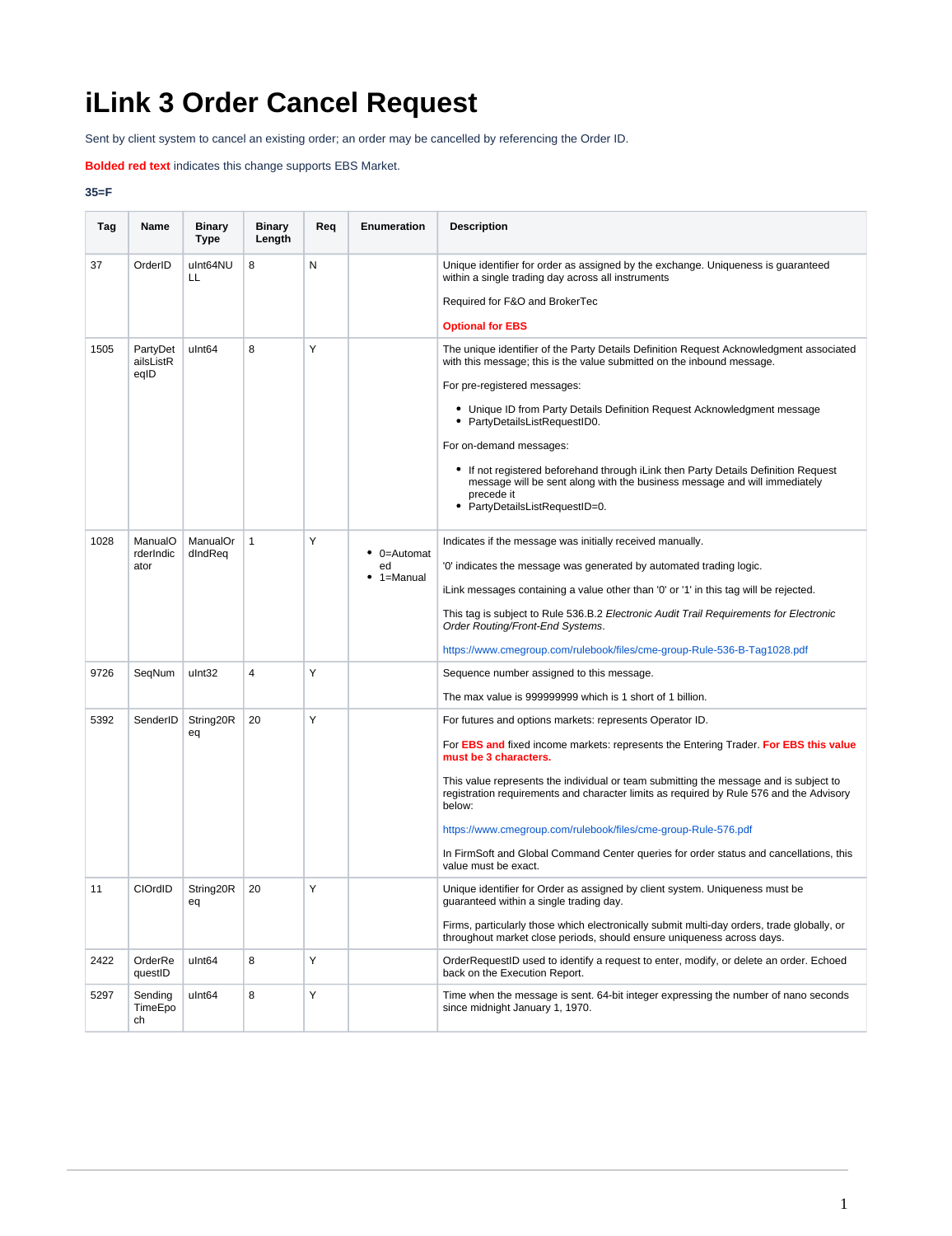## **iLink 3 Order Cancel Request**

Sent by client system to cancel an existing order; an order may be cancelled by referencing the Order ID.

## **Bolded red text** indicates this change supports EBS Market.

## **35=F**

| Tag  | Name                          | Binary<br>Type      | Binary<br>Length | Req | <b>Enumeration</b>                    | <b>Description</b>                                                                                                                                                                                            |
|------|-------------------------------|---------------------|------------------|-----|---------------------------------------|---------------------------------------------------------------------------------------------------------------------------------------------------------------------------------------------------------------|
| 37   | OrderID                       | ulnt64NU<br>LL      | 8                | Ν   |                                       | Unique identifier for order as assigned by the exchange. Uniqueness is guaranteed<br>within a single trading day across all instruments<br>Required for F&O and BrokerTec                                     |
|      |                               |                     |                  |     |                                       | <b>Optional for EBS</b>                                                                                                                                                                                       |
| 1505 | PartyDet<br>ailsListR<br>eqID | ulnt <sub>64</sub>  | 8                | Υ   |                                       | The unique identifier of the Party Details Definition Request Acknowledgment associated<br>with this message; this is the value submitted on the inbound message.<br>For pre-registered messages:             |
|      |                               |                     |                  |     |                                       | • Unique ID from Party Details Definition Request Acknowledgment message<br>• PartyDetailsListRequestID0.                                                                                                     |
|      |                               |                     |                  |     |                                       | For on-demand messages:                                                                                                                                                                                       |
|      |                               |                     |                  |     |                                       | • If not registered beforehand through iLink then Party Details Definition Request<br>message will be sent along with the business message and will immediately<br>precede it<br>PartyDetailsListRequestID=0. |
| 1028 | ManualO<br>rderIndic<br>ator  | ManualOr<br>dIndReq | 1                | Y   | $\bullet$ 0=Automat<br>ed<br>1=Manual | Indicates if the message was initially received manually.                                                                                                                                                     |
|      |                               |                     |                  |     |                                       | '0' indicates the message was generated by automated trading logic.                                                                                                                                           |
|      |                               |                     |                  |     |                                       | iLink messages containing a value other than '0' or '1' in this tag will be rejected.                                                                                                                         |
|      |                               |                     |                  |     |                                       | This tag is subject to Rule 536.B.2 Electronic Audit Trail Requirements for Electronic<br>Order Routing/Front-End Systems.                                                                                    |
|      |                               |                     |                  |     |                                       | https://www.cmegroup.com/rulebook/files/cme-group-Rule-536-B-Tag1028.pdf                                                                                                                                      |
| 9726 | SeqNum                        | ulnt32              | 4                | Y   |                                       | Sequence number assigned to this message.                                                                                                                                                                     |
|      |                               |                     |                  |     |                                       | The max value is 999999999 which is 1 short of 1 billion.                                                                                                                                                     |
| 5392 | SenderID                      | String20R           | 20               | Υ   |                                       | For futures and options markets: represents Operator ID.                                                                                                                                                      |
|      |                               | eq                  |                  |     |                                       | For EBS and fixed income markets: represents the Entering Trader. For EBS this value<br>must be 3 characters.                                                                                                 |
|      |                               |                     |                  |     |                                       | This value represents the individual or team submitting the message and is subject to<br>registration requirements and character limits as required by Rule 576 and the Advisory<br>below:                    |
|      |                               |                     |                  |     |                                       | https://www.cmegroup.com/rulebook/files/cme-group-Rule-576.pdf                                                                                                                                                |
|      |                               |                     |                  |     |                                       | In FirmSoft and Global Command Center queries for order status and cancellations, this<br>value must be exact.                                                                                                |
| 11   | CIOrdID                       | String20R<br>eq     | 20               | Υ   |                                       | Unique identifier for Order as assigned by client system. Uniqueness must be<br>guaranteed within a single trading day.                                                                                       |
|      |                               |                     |                  |     |                                       | Firms, particularly those which electronically submit multi-day orders, trade globally, or<br>throughout market close periods, should ensure uniqueness across days.                                          |
| 2422 | OrderRe<br>questID            | ulnt64              | 8                | Y   |                                       | OrderRequestID used to identify a request to enter, modify, or delete an order. Echoed<br>back on the Execution Report.                                                                                       |
| 5297 | Sending<br>TimeEpo<br>ch      | ulnt <sub>64</sub>  | 8                | Υ   |                                       | Time when the message is sent. 64-bit integer expressing the number of nano seconds<br>since midnight January 1, 1970.                                                                                        |